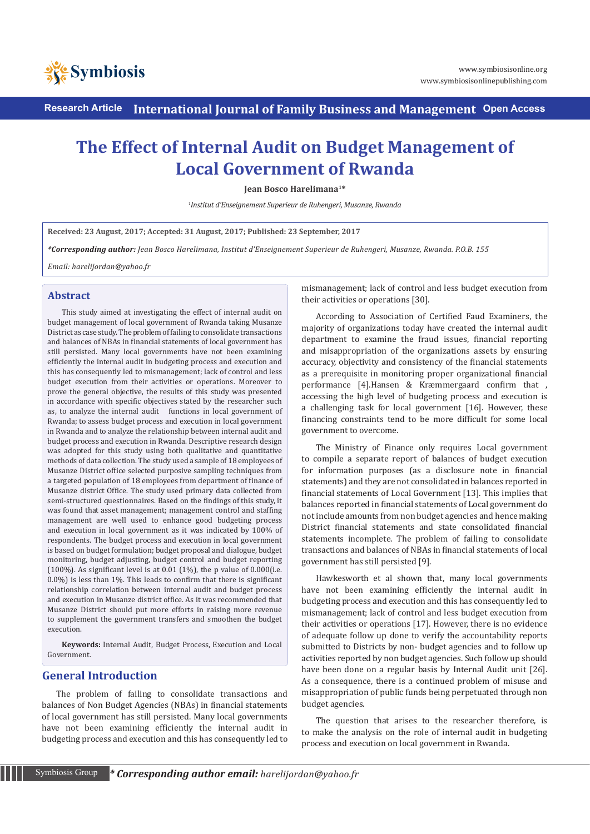

**Research Article International Journal of Family Business and Management Open Access**

# **The Effect of Internal Audit on Budget Management of Local Government of Rwanda**

**Jean Bosco Harelimana1\***

*1 Institut d'Enseignement Superieur de Ruhengeri, Musanze, Rwanda*

**Received: 23 August, 2017; Accepted: 31 August, 2017; Published: 23 September, 2017**

*\*Corresponding author: Jean Bosco Harelimana, Institut d'Enseignement Superieur de Ruhengeri, Musanze, Rwanda. P.O.B. 155*

*Email: harelijordan@yahoo.fr*

#### **Abstract**

This study aimed at investigating the effect of internal audit on budget management of local government of Rwanda taking Musanze District as case study. The problem of failing to consolidate transactions and balances of NBAs in financial statements of local government has still persisted. Many local governments have not been examining efficiently the internal audit in budgeting process and execution and this has consequently led to mismanagement; lack of control and less budget execution from their activities or operations. Moreover to prove the general objective, the results of this study was presented in accordance with specific objectives stated by the researcher such as, to analyze the internal audit functions in local government of Rwanda; to assess budget process and execution in local government in Rwanda and to analyze the relationship between internal audit and budget process and execution in Rwanda. Descriptive research design was adopted for this study using both qualitative and quantitative methods of data collection. The study used a sample of 18 employees of Musanze District office selected purposive sampling techniques from a targeted population of 18 employees from department of finance of Musanze district Office. The study used primary data collected from semi-structured questionnaires. Based on the findings of this study, it was found that asset management; management control and staffing management are well used to enhance good budgeting process and execution in local government as it was indicated by 100% of respondents. The budget process and execution in local government is based on budget formulation; budget proposal and dialogue, budget monitoring, budget adjusting, budget control and budget reporting (100%). As significant level is at 0.01 (1%), the p value of  $0.000$  (i.e. 0.0%) is less than 1%. This leads to confirm that there is significant relationship correlation between internal audit and budget process and execution in Musanze district office. As it was recommended that Musanze District should put more efforts in raising more revenue to supplement the government transfers and smoothen the budget execution.

**Keywords:** Internal Audit, Budget Process, Execution and Local Government.

## **General Introduction**

The problem of failing to consolidate transactions and balances of Non Budget Agencies (NBAs) in financial statements of local government has still persisted. Many local governments have not been examining efficiently the internal audit in budgeting process and execution and this has consequently led to mismanagement; lack of control and less budget execution from their activities or operations [30].

According to Association of Certified Faud Examiners, the majority of organizations today have created the internal audit department to examine the fraud issues, financial reporting and misappropriation of the organizations assets by ensuring accuracy, objectivity and consistency of the financial statements as a prerequisite in monitoring proper organizational financial performance [4].Hansen & Kræmmergaard confirm that , accessing the high level of budgeting process and execution is a challenging task for local government [16]. However, these financing constraints tend to be more difficult for some local government to overcome.

The Ministry of Finance only requires Local government to compile a separate report of balances of budget execution for information purposes (as a disclosure note in financial statements) and they are not consolidated in balances reported in financial statements of Local Government [13]. This implies that balances reported in financial statements of Local government do not include amounts from non budget agencies and hence making District financial statements and state consolidated financial statements incomplete. The problem of failing to consolidate transactions and balances of NBAs in financial statements of local government has still persisted [9].

Hawkesworth et al shown that, many local governments have not been examining efficiently the internal audit in budgeting process and execution and this has consequently led to mismanagement; lack of control and less budget execution from their activities or operations [17]. However, there is no evidence of adequate follow up done to verify the accountability reports submitted to Districts by non- budget agencies and to follow up activities reported by non budget agencies. Such follow up should have been done on a regular basis by Internal Audit unit [26]. As a consequence, there is a continued problem of misuse and misappropriation of public funds being perpetuated through non budget agencies.

The question that arises to the researcher therefore, is to make the analysis on the role of internal audit in budgeting process and execution on local government in Rwanda.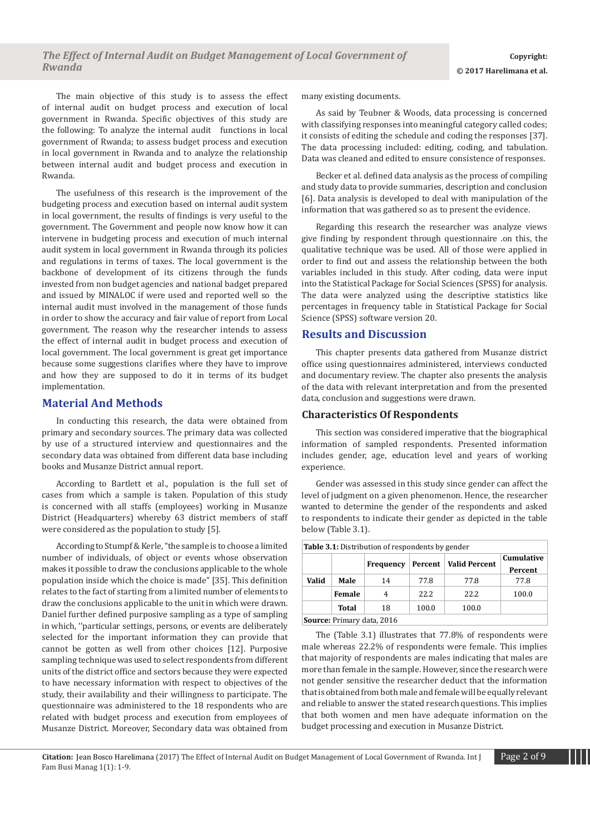The main objective of this study is to assess the effect of internal audit on budget process and execution of local government in Rwanda. Specific objectives of this study are the following: To analyze the internal audit functions in local government of Rwanda; to assess budget process and execution in local government in Rwanda and to analyze the relationship between internal audit and budget process and execution in Rwanda.

The usefulness of this research is the improvement of the budgeting process and execution based on internal audit system in local government, the results of findings is very useful to the government. The Government and people now know how it can intervene in budgeting process and execution of much internal audit system in local government in Rwanda through its policies and regulations in terms of taxes. The local government is the backbone of development of its citizens through the funds invested from non budget agencies and national badget prepared and issued by MINALOC if were used and reported well so the internal audit must involved in the management of those funds in order to show the accuracy and fair value of report from Local government. The reason why the researcher intends to assess the effect of internal audit in budget process and execution of local government. The local government is great get importance because some suggestions clarifies where they have to improve and how they are supposed to do it in terms of its budget implementation.

# **Material And Methods**

In conducting this research, the data were obtained from primary and secondary sources. The primary data was collected by use of a structured interview and questionnaires and the secondary data was obtained from different data base including books and Musanze District annual report.

According to Bartlett et al., population is the full set of cases from which a sample is taken. Population of this study is concerned with all staffs (employees) working in Musanze District (Headquarters) whereby 63 district members of staff were considered as the population to study [5].

According to Stumpf & Kerle, "the sample is to choose a limited number of individuals, of object or events whose observation makes it possible to draw the conclusions applicable to the whole population inside which the choice is made" [35]. This definition relates to the fact of starting from a limited number of elements to draw the conclusions applicable to the unit in which were drawn. Daniel further defined purposive sampling as a type of sampling in which, ''particular settings, persons, or events are deliberately selected for the important information they can provide that cannot be gotten as well from other choices [12]. Purposive sampling technique was used to select respondents from different units of the district office and sectors because they were expected to have necessary information with respect to objectives of the study, their availability and their willingness to participate. The questionnaire was administered to the 18 respondents who are related with budget process and execution from employees of Musanze District. Moreover, Secondary data was obtained from many existing documents.

As said by Teubner & Woods, data processing is concerned with classifying responses into meaningful category called codes; it consists of editing the schedule and coding the responses [37]. The data processing included: editing, coding, and tabulation. Data was cleaned and edited to ensure consistence of responses.

Becker et al. defined data analysis as the process of compiling and study data to provide summaries, description and conclusion [6]. Data analysis is developed to deal with manipulation of the information that was gathered so as to present the evidence.

Regarding this research the researcher was analyze views give finding by respondent through questionnaire .on this, the qualitative technique was be used. All of those were applied in order to find out and assess the relationship between the both variables included in this study. After coding, data were input into the Statistical Package for Social Sciences (SPSS) for analysis. The data were analyzed using the descriptive statistics like percentages in frequency table in Statistical Package for Social Science (SPSS) software version 20.

#### **Results and Discussion**

This chapter presents data gathered from Musanze district office using questionnaires administered, interviews conducted and documentary review. The chapter also presents the analysis of the data with relevant interpretation and from the presented data, conclusion and suggestions were drawn.

#### **Characteristics Of Respondents**

This section was considered imperative that the biographical information of sampled respondents. Presented information includes gender, age, education level and years of working experience.

Gender was assessed in this study since gender can affect the level of judgment on a given phenomenon. Hence, the researcher wanted to determine the gender of the respondents and asked to respondents to indicate their gender as depicted in the table below (Table 3.1).

|       | <b>Table 3.1:</b> Distribution of respondents by gender |                            |       |       |       |  |  |  |  |  |
|-------|---------------------------------------------------------|----------------------------|-------|-------|-------|--|--|--|--|--|
|       | Cumulative<br>Percent   Valid Percent<br>Frequency      |                            |       |       |       |  |  |  |  |  |
| Valid | Male                                                    | 14                         | 77.8  | 77.8  | 77.8  |  |  |  |  |  |
|       | Female                                                  | 4                          | 22.2  | 22.2  | 100.0 |  |  |  |  |  |
|       | Total                                                   | 18                         | 100.0 | 100.0 |       |  |  |  |  |  |
|       |                                                         | Source: Primary data, 2016 |       |       |       |  |  |  |  |  |

The (Table 3.1) illustrates that 77.8% of respondents were male whereas 22.2% of respondents were female. This implies that majority of respondents are males indicating that males are more than female in the sample. However, since the research were not gender sensitive the researcher deduct that the information that is obtained from both male and female will be equally relevant and reliable to answer the stated research questions. This implies that both women and men have adequate information on the budget processing and execution in Musanze District.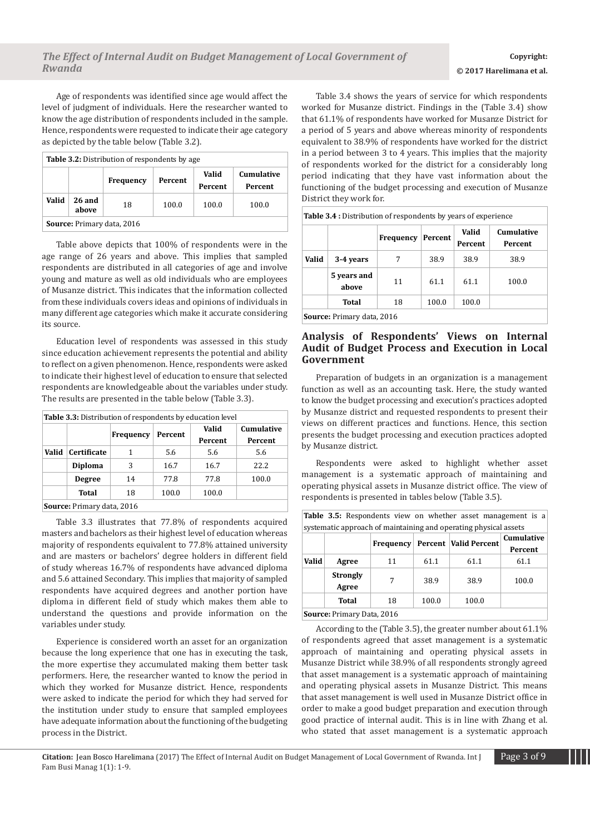Age of respondents was identified since age would affect the level of judgment of individuals. Here the researcher wanted to know the age distribution of respondents included in the sample. Hence, respondents were requested to indicate their age category as depicted by the table below (Table 3.2).

| <b>Table 3.2:</b> Distribution of respondents by age |                                                                   |                            |       |       |       |  |  |  |
|------------------------------------------------------|-------------------------------------------------------------------|----------------------------|-------|-------|-------|--|--|--|
|                                                      | Cumulative<br>Valid<br>Percent<br>Frequency<br>Percent<br>Percent |                            |       |       |       |  |  |  |
| Valid                                                | <b>26 and</b><br>above                                            | 18                         | 100.0 | 100.0 | 100.0 |  |  |  |
|                                                      |                                                                   | Source: Primary data, 2016 |       |       |       |  |  |  |

Table above depicts that 100% of respondents were in the age range of 26 years and above. This implies that sampled respondents are distributed in all categories of age and involve young and mature as well as old individuals who are employees of Musanze district. This indicates that the information collected from these individuals covers ideas and opinions of individuals in many different age categories which make it accurate considering its source.

Education level of respondents was assessed in this study since education achievement represents the potential and ability to reflect on a given phenomenon. Hence, respondents were asked to indicate their highest level of education to ensure that selected respondents are knowledgeable about the variables under study. The results are presented in the table below (Table 3.3).

|                | <b>Frequency</b> | Percent                  | Valid<br>Percent | <b>Cumulative</b><br>Percent |
|----------------|------------------|--------------------------|------------------|------------------------------|
| Certificate    | 1                | 5.6                      | 5.6              | 5.6                          |
| <b>Diploma</b> | 3                | 16.7                     | 16.7             | 22.2                         |
| <b>Degree</b>  | 14               | 77.8                     | 77.8             | 100.0                        |
| Total          | 18               | 100.0                    | 100.0            |                              |
|                |                  | Cource Drimary data 2016 |                  |                              |

**Source:** Primary data, 2016

Table 3.3 illustrates that 77.8% of respondents acquired masters and bachelors as their highest level of education whereas majority of respondents equivalent to 77.8% attained university and are masters or bachelors' degree holders in different field of study whereas 16.7% of respondents have advanced diploma and 5.6 attained Secondary. This implies that majority of sampled respondents have acquired degrees and another portion have diploma in different field of study which makes them able to understand the questions and provide information on the variables under study.

Experience is considered worth an asset for an organization because the long experience that one has in executing the task, the more expertise they accumulated making them better task performers. Here, the researcher wanted to know the period in which they worked for Musanze district. Hence, respondents were asked to indicate the period for which they had served for the institution under study to ensure that sampled employees have adequate information about the functioning of the budgeting process in the District.

Table 3.4 shows the years of service for which respondents worked for Musanze district. Findings in the (Table 3.4) show that 61.1% of respondents have worked for Musanze District for a period of 5 years and above whereas minority of respondents equivalent to 38.9% of respondents have worked for the district in a period between 3 to 4 years. This implies that the majority of respondents worked for the district for a considerably long period indicating that they have vast information about the functioning of the budget processing and execution of Musanze District they work for.

|       |                      | <b>Frequency</b> | Percent | Valid<br>Percent | Cumulative<br>Percent |
|-------|----------------------|------------------|---------|------------------|-----------------------|
| Valid | 3-4 years            |                  | 38.9    | 38.9             | 38.9                  |
|       | 5 years and<br>above | 11               | 61.1    | 61.1             | 100.0                 |
|       | Total                | 18               | 100.0   | 100.0            |                       |

#### **Analysis of Respondents' Views on Internal Audit of Budget Process and Execution in Local Government**

Preparation of budgets in an organization is a management function as well as an accounting task. Here, the study wanted to know the budget processing and execution's practices adopted by Musanze district and requested respondents to present their views on different practices and functions. Hence, this section presents the budget processing and execution practices adopted by Musanze district.

Respondents were asked to highlight whether asset management is a systematic approach of maintaining and operating physical assets in Musanze district office. The view of respondents is presented in tables below (Table 3.5).

| <b>Table 3.5:</b> Respondents view on whether asset management is a |  |  |  |  |
|---------------------------------------------------------------------|--|--|--|--|
| systematic approach of maintaining and operating physical assets    |  |  |  |  |

|              |                           | Percent   Valid Percent<br><b>Frequency</b> |       | systematic approach of manitaling and operating physical assets | <b>Cumulative</b> |
|--------------|---------------------------|---------------------------------------------|-------|-----------------------------------------------------------------|-------------------|
|              |                           |                                             |       |                                                                 | Percent           |
| <b>Valid</b> | Agree                     | 11                                          | 61.1  | 61.1                                                            | 61.1              |
|              | <b>Strongly</b>           | 7                                           | 38.9  | 38.9                                                            | 100.0             |
|              | Agree                     |                                             |       |                                                                 |                   |
|              | Total                     | 18                                          | 100.0 | 100.0                                                           |                   |
|              | Source: Primary Data 2016 |                                             |       |                                                                 |                   |

**Source:** Primary Data, 2016

According to the (Table 3.5), the greater number about 61.1% of respondents agreed that asset management is a systematic approach of maintaining and operating physical assets in Musanze District while 38.9% of all respondents strongly agreed that asset management is a systematic approach of maintaining and operating physical assets in Musanze District. This means that asset management is well used in Musanze District office in order to make a good budget preparation and execution through good practice of internal audit. This is in line with Zhang et al. who stated that asset management is a systematic approach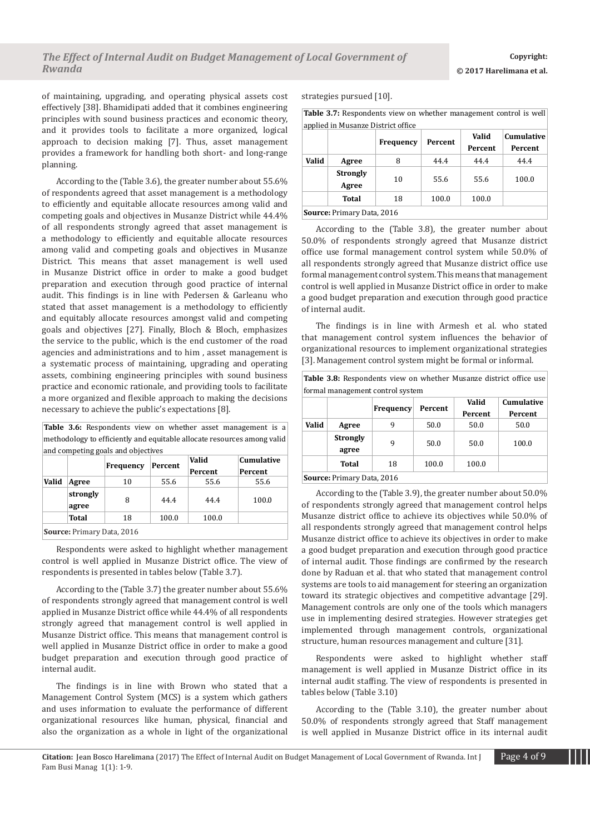of maintaining, upgrading, and operating physical assets cost effectively [38]. Bhamidipati added that it combines engineering principles with sound business practices and economic theory, and it provides tools to facilitate a more organized, logical approach to decision making [7]. Thus, asset management provides a framework for handling both short- and long-range planning.

According to the (Table 3.6), the greater number about 55.6% of respondents agreed that asset management is a methodology to efficiently and equitable allocate resources among valid and competing goals and objectives in Musanze District while 44.4% of all respondents strongly agreed that asset management is a methodology to efficiently and equitable allocate resources among valid and competing goals and objectives in Musanze District. This means that asset management is well used in Musanze District office in order to make a good budget preparation and execution through good practice of internal audit. This findings is in line with Pedersen & Garleanu who stated that asset management is a methodology to efficiently and equitably allocate resources amongst valid and competing goals and objectives [27]. Finally, Bloch & Bloch, emphasizes the service to the public, which is the end customer of the road agencies and administrations and to him , asset management is a systematic process of maintaining, upgrading and operating assets, combining engineering principles with sound business practice and economic rationale, and providing tools to facilitate a more organized and flexible approach to making the decisions necessary to achieve the public's expectations [8].

|  | <b>Table 3.6:</b> Respondents view on whether asset management is a     |  |  |  |  |
|--|-------------------------------------------------------------------------|--|--|--|--|
|  | methodology to efficiently and equitable allocate resources among valid |  |  |  |  |
|  | and competing goals and objectives                                      |  |  |  |  |

|       |                   |           |         | Valid   | <b>Cumulative</b> |
|-------|-------------------|-----------|---------|---------|-------------------|
|       |                   | Frequency | Percent | Percent | Percent           |
| Valid | Agree             | 10        | 55.6    | 55.6    | 55.6              |
|       | strongly<br>agree | 8         | 44.4    | 44.4    | 100.0             |
|       | Total             | 18        | 100.0   | 100.0   |                   |

**Source:** Primary Data, 2016

Respondents were asked to highlight whether management control is well applied in Musanze District office. The view of respondents is presented in tables below (Table 3.7).

According to the (Table 3.7) the greater number about 55.6% of respondents strongly agreed that management control is well applied in Musanze District office while 44.4% of all respondents strongly agreed that management control is well applied in Musanze District office. This means that management control is well applied in Musanze District office in order to make a good budget preparation and execution through good practice of internal audit.

The findings is in line with Brown who stated that a Management Control System (MCS) is a system which gathers and uses information to evaluate the performance of different organizational resources like human, physical, financial and also the organization as a whole in light of the organizational strategies pursued [10].

| <b>Table 3.7:</b> Respondents view on whether management control is well |  |  |  |
|--------------------------------------------------------------------------|--|--|--|
| applied in Musanze District office                                       |  |  |  |
|                                                                          |  |  |  |

|       |                                   | Frequency | Percent | Valid<br>Percent | <b>Cumulative</b><br>Percent |  |  |  |
|-------|-----------------------------------|-----------|---------|------------------|------------------------------|--|--|--|
| Valid | Agree                             | 8         | 44.4    | 44.4             | 44.4                         |  |  |  |
|       | <b>Strongly</b><br>Agree          | 10        | 55.6    | 55.6             | 100.0                        |  |  |  |
|       | Total                             | 18        | 100.0   | 100.0            |                              |  |  |  |
|       | <b>Source: Primary Data, 2016</b> |           |         |                  |                              |  |  |  |

According to the (Table 3.8), the greater number about 50.0% of respondents strongly agreed that Musanze district office use formal management control system while 50.0% of all respondents strongly agreed that Musanze district office use formal management control system. This means that management control is well applied in Musanze District office in order to make a good budget preparation and execution through good practice of internal audit.

The findings is in line with Armesh et al. who stated that management control system influences the behavior of organizational resources to implement organizational strategies [3]. Management control system might be formal or informal.

| Table 3.8: Respondents view on whether Musanze district office use |  |  |  |
|--------------------------------------------------------------------|--|--|--|
| formal management control system                                   |  |  |  |

| formal management control system |                           |                  |         |                  |                       |  |  |  |  |
|----------------------------------|---------------------------|------------------|---------|------------------|-----------------------|--|--|--|--|
|                                  |                           | <b>Frequency</b> | Percent | Valid<br>Percent | Cumulative<br>Percent |  |  |  |  |
| Valid                            | Agree                     | 9                | 50.0    | 50.0             | 50.0                  |  |  |  |  |
|                                  | <b>Strongly</b><br>agree  | 9                | 50.0    | 50.0             | 100.0                 |  |  |  |  |
|                                  | Total                     | 18               | 100.0   | 100.0            |                       |  |  |  |  |
|                                  | Coursey Drimow, Data 2016 |                  |         |                  |                       |  |  |  |  |

**Source:** Primary Data, 2016

According to the (Table 3.9), the greater number about 50.0% of respondents strongly agreed that management control helps Musanze district office to achieve its objectives while 50.0% of all respondents strongly agreed that management control helps Musanze district office to achieve its objectives in order to make a good budget preparation and execution through good practice of internal audit. Those findings are confirmed by the research done by Raduan et al. that who stated that management control systems are tools to aid management for steering an organization toward its strategic objectives and competitive advantage [29]. Management controls are only one of the tools which managers use in implementing desired strategies. However strategies get implemented through management controls, organizational structure, human resources management and culture [31].

Respondents were asked to highlight whether staff management is well applied in Musanze District office in its internal audit staffing. The view of respondents is presented in tables below (Table 3.10)

According to the (Table 3.10), the greater number about 50.0% of respondents strongly agreed that Staff management is well applied in Musanze District office in its internal audit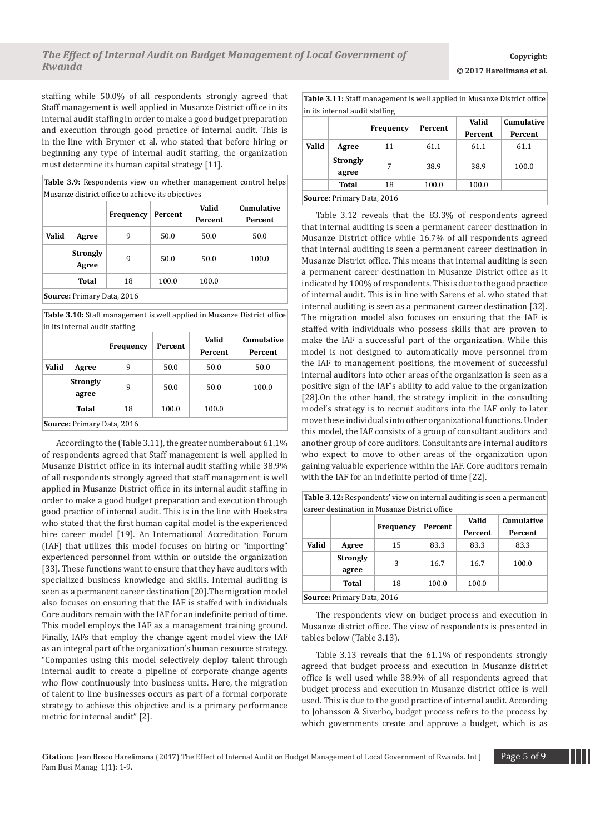staffing while 50.0% of all respondents strongly agreed that Staff management is well applied in Musanze District office in its internal audit staffing in order to make a good budget preparation and execution through good practice of internal audit. This is in the line with Brymer et al. who stated that before hiring or beginning any type of internal audit staffing, the organization must determine its human capital strategy [11].

**Table 3.9:** Respondents view on whether management control helps Musanze district office to achieve its objectives

|       |                          | Frequency | Valid<br>Percent<br>Percent |       | Cumulative<br>Percent |
|-------|--------------------------|-----------|-----------------------------|-------|-----------------------|
| Valid | Agree                    | 9         | 50.0                        | 50.0  | 50.0                  |
|       | <b>Strongly</b><br>Agree | 9         | 50.0                        | 50.0  | 100.0                 |
|       | Total                    | 18        | 100.0                       | 100.0 |                       |

**Source:** Primary Data, 2016

**Table 3.10:** Staff management is well applied in Musanze District office in its internal audit staffing

|                                   |                          | Frequency | Percent | Valid<br>Percent | Cumulative<br>Percent |  |  |  |  |
|-----------------------------------|--------------------------|-----------|---------|------------------|-----------------------|--|--|--|--|
| Valid                             | Agree                    | 9         | 50.0    | 50.0             | 50.0                  |  |  |  |  |
|                                   | <b>Strongly</b><br>agree | 9         | 50.0    | 50.0             | 100.0                 |  |  |  |  |
|                                   | Total                    | 18        | 100.0   | 100.0            |                       |  |  |  |  |
| <b>Source: Primary Data, 2016</b> |                          |           |         |                  |                       |  |  |  |  |

According to the (Table 3.11), the greater number about 61.1% of respondents agreed that Staff management is well applied in Musanze District office in its internal audit staffing while 38.9% of all respondents strongly agreed that staff management is well applied in Musanze District office in its internal audit staffing in order to make a good budget preparation and execution through good practice of internal audit. This is in the line with Hoekstra who stated that the first human capital model is the experienced hire career model [19]. An International Accreditation Forum (IAF) that utilizes this model focuses on hiring or "importing" experienced personnel from within or outside the organization [33]. These functions want to ensure that they have auditors with specialized business knowledge and skills. Internal auditing is seen as a permanent career destination [20].The migration model also focuses on ensuring that the IAF is staffed with individuals Core auditors remain with the IAF for an indefinite period of time. This model employs the IAF as a management training ground. Finally, IAFs that employ the change agent model view the IAF as an integral part of the organization's human resource strategy. "Companies using this model selectively deploy talent through internal audit to create a pipeline of corporate change agents who flow continuously into business units. Here, the migration of talent to line businesses occurs as part of a formal corporate strategy to achieve this objective and is a primary performance metric for internal audit" [2].

**Table 3.11:** Staff management is well applied in Musanze District office in its internal audit staffing

|                                   |                 | Frequency | Percent | Valid   | Cumulative |  |  |  |
|-----------------------------------|-----------------|-----------|---------|---------|------------|--|--|--|
|                                   |                 |           |         | Percent | Percent    |  |  |  |
| Valid                             | Agree           | 11        | 61.1    | 61.1    | 61.1       |  |  |  |
|                                   | <b>Strongly</b> | 7         | 38.9    | 38.9    | 100.0      |  |  |  |
|                                   | agree           |           |         |         |            |  |  |  |
|                                   | Total           | 18        | 100.0   | 100.0   |            |  |  |  |
| <b>Source: Primary Data, 2016</b> |                 |           |         |         |            |  |  |  |

Table 3.12 reveals that the 83.3% of respondents agreed that internal auditing is seen a permanent career destination in Musanze District office while 16.7% of all respondents agreed that internal auditing is seen a permanent career destination in Musanze District office. This means that internal auditing is seen a permanent career destination in Musanze District office as it indicated by 100% of respondents. This is due to the good practice of internal audit. This is in line with Sarens et al. who stated that internal auditing is seen as a permanent career destination [32]. The migration model also focuses on ensuring that the IAF is staffed with individuals who possess skills that are proven to make the IAF a successful part of the organization. While this model is not designed to automatically move personnel from the IAF to management positions, the movement of successful internal auditors into other areas of the organization is seen as a positive sign of the IAF's ability to add value to the organization [28].On the other hand, the strategy implicit in the consulting model's strategy is to recruit auditors into the IAF only to later move these individuals into other organizational functions. Under this model, the IAF consists of a group of consultant auditors and another group of core auditors. Consultants are internal auditors who expect to move to other areas of the organization upon gaining valuable experience within the IAF. Core auditors remain with the IAF for an indefinite period of time [22].

**Table 3.12:** Respondents' view on internal auditing is seen a permanent career destination in Musanze District office

| carcer acountanon in riabande Diburce onnec |                 |                            |         |         |            |  |  |  |  |  |  |
|---------------------------------------------|-----------------|----------------------------|---------|---------|------------|--|--|--|--|--|--|
|                                             |                 | Frequency                  | Percent | Valid   | Cumulative |  |  |  |  |  |  |
|                                             |                 |                            |         | Percent | Percent    |  |  |  |  |  |  |
| Valid                                       | Agree           | 15                         | 83.3    | 83.3    | 83.3       |  |  |  |  |  |  |
|                                             | <b>Strongly</b> | 3                          | 16.7    | 16.7    | 100.0      |  |  |  |  |  |  |
|                                             | agree           |                            |         |         |            |  |  |  |  |  |  |
|                                             | Total           | 18                         | 100.0   | 100.0   |            |  |  |  |  |  |  |
|                                             |                 | Source: Primary Data, 2016 |         |         |            |  |  |  |  |  |  |

The respondents view on budget process and execution in Musanze district office. The view of respondents is presented in tables below (Table 3.13).

Table 3.13 reveals that the 61.1% of respondents strongly agreed that budget process and execution in Musanze district office is well used while 38.9% of all respondents agreed that budget process and execution in Musanze district office is well used. This is due to the good practice of internal audit. According to Johansson & Siverbo, budget process refers to the process by which governments create and approve a budget, which is as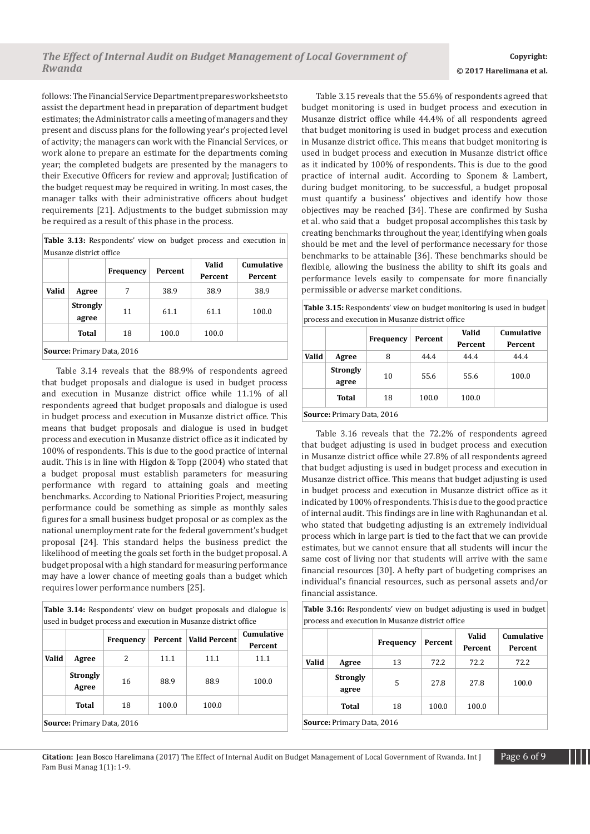follows: The Financial Service Department prepares worksheets to assist the department head in preparation of department budget estimates; the Administrator calls a meeting of managers and they present and discuss plans for the following year's projected level of activity; the managers can work with the Financial Services, or work alone to prepare an estimate for the departments coming year; the completed budgets are presented by the managers to their Executive Officers for review and approval; Justification of the budget request may be required in writing. In most cases, the manager talks with their administrative officers about budget requirements [21]. Adjustments to the budget submission may be required as a result of this phase in the process.

**Table 3.13:** Respondents' view on budget process and execution in Musanze district office

|       |                                   | Frequency | Percent | Valid<br>Percent | Cumulative<br>Percent |  |  |  |  |  |
|-------|-----------------------------------|-----------|---------|------------------|-----------------------|--|--|--|--|--|
| Valid | Agree                             | 7         | 38.9    | 38.9             | 38.9                  |  |  |  |  |  |
|       | <b>Strongly</b><br>agree          | 11        | 61.1    | 61.1             | 100.0                 |  |  |  |  |  |
|       | Total                             | 18        | 100.0   | 100.0            |                       |  |  |  |  |  |
|       | <b>Source: Primary Data, 2016</b> |           |         |                  |                       |  |  |  |  |  |

Table 3.14 reveals that the 88.9% of respondents agreed that budget proposals and dialogue is used in budget process and execution in Musanze district office while 11.1% of all respondents agreed that budget proposals and dialogue is used in budget process and execution in Musanze district office. This means that budget proposals and dialogue is used in budget process and execution in Musanze district office as it indicated by 100% of respondents. This is due to the good practice of internal audit. This is in line with Higdon & Topp (2004) who stated that a budget proposal must establish parameters for measuring performance with regard to attaining goals and meeting benchmarks. According to National Priorities Project, measuring performance could be something as simple as monthly sales figures for a small business budget proposal or as complex as the national unemployment rate for the federal government's budget proposal [24]. This standard helps the business predict the likelihood of meeting the goals set forth in the budget proposal. A budget proposal with a high standard for measuring performance may have a lower chance of meeting goals than a budget which requires lower performance numbers [25].

**Table 3.14:** Respondents' view on budget proposals and dialogue is used in budget process and execution in Musanze district office

|       |                                   | Frequency | Percent | Valid Percent | <b>Cumulative</b><br>Percent |
|-------|-----------------------------------|-----------|---------|---------------|------------------------------|
| Valid | Agree                             | 2         | 11.1    | 11.1          | 11.1                         |
|       | <b>Strongly</b><br>Agree          | 16        | 88.9    | 88.9          | 100.0                        |
|       | Total                             | 18        | 100.0   | 100.0         |                              |
|       | <b>Source: Primary Data, 2016</b> |           |         |               |                              |

Table 3.15 reveals that the 55.6% of respondents agreed that budget monitoring is used in budget process and execution in Musanze district office while 44.4% of all respondents agreed that budget monitoring is used in budget process and execution in Musanze district office. This means that budget monitoring is used in budget process and execution in Musanze district office as it indicated by 100% of respondents. This is due to the good practice of internal audit. According to Sponem & Lambert, during budget monitoring, to be successful, a budget proposal must quantify a business' objectives and identify how those objectives may be reached [34]. These are confirmed by Susha et al. who said that a budget proposal accomplishes this task by creating benchmarks throughout the year, identifying when goals should be met and the level of performance necessary for those benchmarks to be attainable [36]. These benchmarks should be flexible, allowing the business the ability to shift its goals and performance levels easily to compensate for more financially permissible or adverse market conditions.

**Table 3.15:** Respondents' view on budget monitoring is used in budget process and execution in Musanze district office

|       |                          | <b>Frequency</b> | Percent |       | <b>Cumulative</b><br>Percent |  |
|-------|--------------------------|------------------|---------|-------|------------------------------|--|
| Valid | Agree                    | 8                | 44.4    | 44.4  | 44.4                         |  |
|       | <b>Strongly</b><br>agree | 10               | 55.6    | 55.6  | 100.0                        |  |
|       | Total                    | 18               | 100.0   | 100.0 |                              |  |

**Source:** Primary Data, 2016

Table 3.16 reveals that the 72.2% of respondents agreed that budget adjusting is used in budget process and execution in Musanze district office while 27.8% of all respondents agreed that budget adjusting is used in budget process and execution in Musanze district office. This means that budget adjusting is used in budget process and execution in Musanze district office as it indicated by 100% of respondents. This is due to the good practice of internal audit. This findings are in line with Raghunandan et al. who stated that budgeting adjusting is an extremely individual process which in large part is tied to the fact that we can provide estimates, but we cannot ensure that all students will incur the same cost of living nor that students will arrive with the same financial resources [30]. A hefty part of budgeting comprises an individual's financial resources, such as personal assets and/or financial assistance.

**Table 3.16:** Respondents' view on budget adjusting is used in budget process and execution in Musanze district office

|                            |                          | <b>Frequency</b> | Percent | Valid<br>Percent | Cumulative<br>Percent |  |  |  |  |
|----------------------------|--------------------------|------------------|---------|------------------|-----------------------|--|--|--|--|
| Valid                      | Agree                    | 13               | 72.2    | 72.2             | 72.2                  |  |  |  |  |
|                            | <b>Strongly</b><br>agree | 5                | 27.8    | 27.8             | 100.0                 |  |  |  |  |
|                            | Total                    | 18               | 100.0   | 100.0            |                       |  |  |  |  |
| Source: Primary Data, 2016 |                          |                  |         |                  |                       |  |  |  |  |

**Citation:** Jean Bosco Harelimana (2017) The Effect of Internal Audit on Budget Management of Local Government of Rwanda. Int J Page 6 of 9 Fam Busi Manag 1(1): 1-9.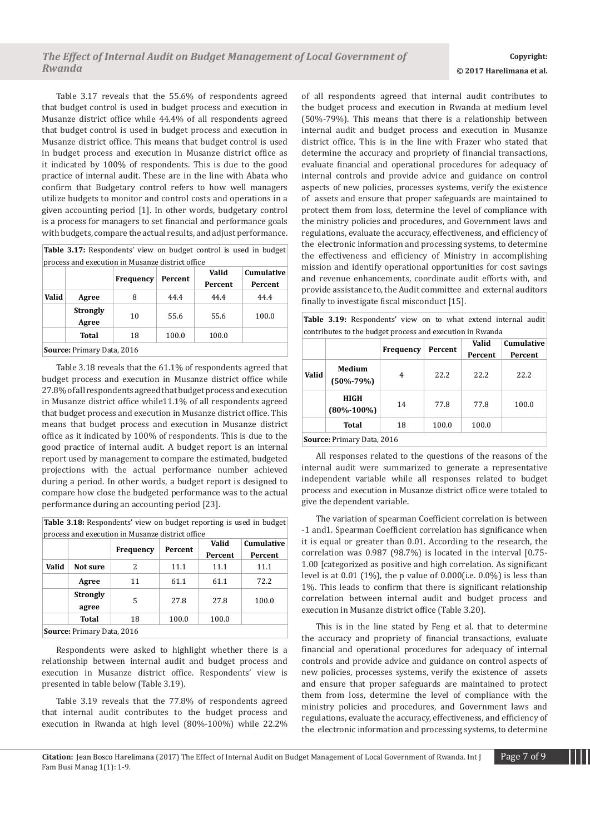Table 3.17 reveals that the 55.6% of respondents agreed that budget control is used in budget process and execution in Musanze district office while 44.4% of all respondents agreed that budget control is used in budget process and execution in Musanze district office. This means that budget control is used in budget process and execution in Musanze district office as it indicated by 100% of respondents. This is due to the good practice of internal audit. These are in the line with Abata who confirm that Budgetary control refers to how well managers utilize budgets to monitor and control costs and operations in a given accounting period [1]. In other words, budgetary control is a process for managers to set financial and performance goals with budgets, compare the actual results, and adjust performance.

| Table 3.17: Respondents' view on budget control is used in budget |  |
|-------------------------------------------------------------------|--|
| process and execution in Musanze district office                  |  |

|              |                                   | Frequency | Percent | <b>Valid</b> | <b>Cumulative</b> |
|--------------|-----------------------------------|-----------|---------|--------------|-------------------|
|              |                                   |           |         | Percent      | Percent           |
| <b>Valid</b> | Agree                             | 8         | 44.4    | 44.4         | 44.4              |
|              | <b>Strongly</b>                   | 10        | 55.6    | 55.6         | 100.0             |
|              | Agree                             |           |         |              |                   |
|              | Total                             | 18        | 100.0   | 100.0        |                   |
|              | <b>Source: Primary Data, 2016</b> |           |         |              |                   |

Table 3.18 reveals that the 61.1% of respondents agreed that budget process and execution in Musanze district office while 27.8% of all respondents agreed that budget process and execution in Musanze district office while11.1% of all respondents agreed that budget process and execution in Musanze district office. This means that budget process and execution in Musanze district office as it indicated by 100% of respondents. This is due to the good practice of internal audit. A budget report is an internal report used by management to compare the estimated, budgeted projections with the actual performance number achieved during a period. In other words, a budget report is designed to compare how close the budgeted performance was to the actual performance during an accounting period [23].

**Table 3.18:** Respondents' view on budget reporting is used in budget process and execution in Musanze district office

|       |                            |           | Percent | Valid   | Cumulative |  |  |  |  |
|-------|----------------------------|-----------|---------|---------|------------|--|--|--|--|
|       |                            | Frequency |         | Percent | Percent    |  |  |  |  |
| Valid | Not sure                   | 2         | 11.1    | 11.1    | 11.1       |  |  |  |  |
|       | Agree                      | 11        | 61.1    | 61.1    | 72.2       |  |  |  |  |
|       | <b>Strongly</b><br>agree   | 5         | 27.8    | 27.8    | 100.0      |  |  |  |  |
|       | Total                      | 18        | 100.0   | 100.0   |            |  |  |  |  |
|       | Source: Primary Data, 2016 |           |         |         |            |  |  |  |  |

Respondents were asked to highlight whether there is a relationship between internal audit and budget process and execution in Musanze district office. Respondents' view is presented in table below (Table 3.19).

Table 3.19 reveals that the 77.8% of respondents agreed that internal audit contributes to the budget process and execution in Rwanda at high level (80%-100%) while 22.2%

of all respondents agreed that internal audit contributes to the budget process and execution in Rwanda at medium level (50%-79%). This means that there is a relationship between internal audit and budget process and execution in Musanze district office. This is in the line with Frazer who stated that determine the accuracy and propriety of financial transactions, evaluate financial and operational procedures for adequacy of internal controls and provide advice and guidance on control aspects of new policies, processes systems, verify the existence of assets and ensure that proper safeguards are maintained to protect them from loss, determine the level of compliance with the ministry policies and procedures, and Government laws and regulations, evaluate the accuracy, effectiveness, and efficiency of the electronic information and processing systems, to determine the effectiveness and efficiency of Ministry in accomplishing mission and identify operational opportunities for cost savings and revenue enhancements, coordinate audit efforts with, and provide assistance to, the Audit committee and external auditors finally to investigate fiscal misconduct [15].

|  | <b>Table 3.19:</b> Respondents' view on to what extend internal audit |  |  |  |  |
|--|-----------------------------------------------------------------------|--|--|--|--|
|  | contributes to the budget process and execution in Rwanda             |  |  |  |  |

|       |                                   | Frequency | Percent | Valid   | Cumulative |
|-------|-----------------------------------|-----------|---------|---------|------------|
|       |                                   |           |         | Percent | Percent    |
| Valid | Medium<br>$(50\% - 79\%)$         | 4         | 22.2    | 22.2    | 22.2       |
|       | <b>HIGH</b><br>$(80\% - 100\%)$   | 14        | 77.8    | 77.8    | 100.0      |
|       | Total                             | 18        | 100.0   | 100.0   |            |
|       | <b>Source: Primary Data, 2016</b> |           |         |         |            |

All responses related to the questions of the reasons of the internal audit were summarized to generate a representative independent variable while all responses related to budget process and execution in Musanze district office were totaled to give the dependent variable.

The variation of spearman Coefficient correlation is between -1 and1. Spearman Coefficient correlation has significance when it is equal or greater than 0.01. According to the research, the correlation was 0.987 (98.7%) is located in the interval [0.75- 1.00 [categorized as positive and high correlation. As significant level is at  $0.01$  (1%), the p value of  $0.000$  (i.e.  $0.0\%$ ) is less than 1%. This leads to confirm that there is significant relationship correlation between internal audit and budget process and execution in Musanze district office (Table 3.20).

This is in the line stated by Feng et al. that to determine the accuracy and propriety of financial transactions, evaluate financial and operational procedures for adequacy of internal controls and provide advice and guidance on control aspects of new policies, processes systems, verify the existence of assets and ensure that proper safeguards are maintained to protect them from loss, determine the level of compliance with the ministry policies and procedures, and Government laws and regulations, evaluate the accuracy, effectiveness, and efficiency of the electronic information and processing systems, to determine

**Citation:** Jean Bosco Harelimana (2017) The Effect of Internal Audit on Budget Management of Local Government of Rwanda. Int J Page 7 of 9 Fam Busi Manag 1(1): 1-9.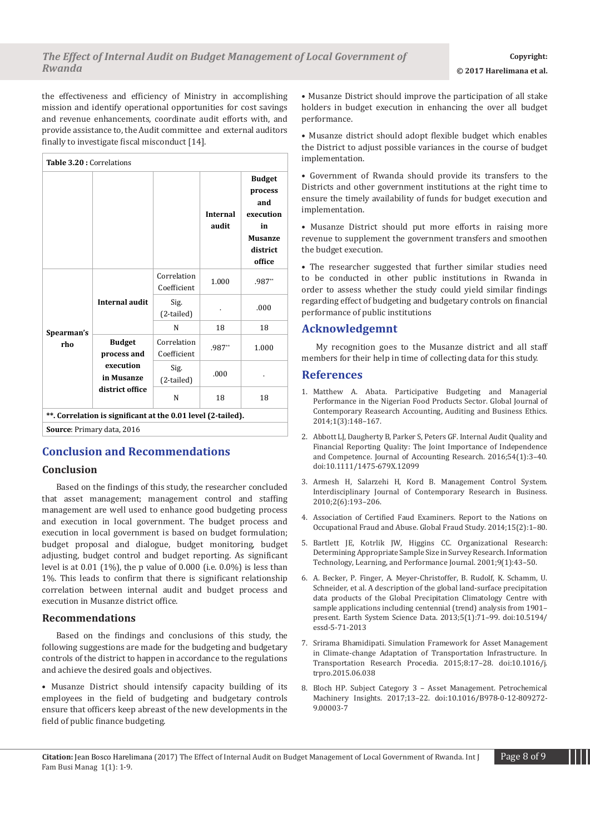the effectiveness and efficiency of Ministry in accomplishing mission and identify operational opportunities for cost savings and revenue enhancements, coordinate audit efforts with, and provide assistance to, the Audit committee and external auditors finally to investigate fiscal misconduct [14].

| Table 3.20 : Correlations                                    |                                                                            |                            |                          |                                                                                            |  |  |  |
|--------------------------------------------------------------|----------------------------------------------------------------------------|----------------------------|--------------------------|--------------------------------------------------------------------------------------------|--|--|--|
|                                                              |                                                                            |                            | <b>Internal</b><br>audit | <b>Budget</b><br>process<br>and<br>execution<br>in<br><b>Musanze</b><br>district<br>office |  |  |  |
|                                                              | Internal audit                                                             | Correlation<br>Coefficient | 1.000                    | .987**                                                                                     |  |  |  |
|                                                              |                                                                            | Sig.<br>(2-tailed)         |                          | .000                                                                                       |  |  |  |
| Spearman's                                                   |                                                                            | N                          | 18                       | 18                                                                                         |  |  |  |
| rho                                                          | <b>Budget</b><br>process and<br>execution<br>in Musanze<br>district office | Correlation<br>Coefficient | .987**                   | 1.000                                                                                      |  |  |  |
|                                                              |                                                                            | Sig.<br>(2-tailed)         | .000                     |                                                                                            |  |  |  |
|                                                              |                                                                            | N                          | 18                       | 18                                                                                         |  |  |  |
| **. Correlation is significant at the 0.01 level (2-tailed). |                                                                            |                            |                          |                                                                                            |  |  |  |
| <b>Source: Primary data, 2016</b>                            |                                                                            |                            |                          |                                                                                            |  |  |  |

# **Conclusion and Recommendations**

## **Conclusion**

Based on the findings of this study, the researcher concluded that asset management; management control and staffing management are well used to enhance good budgeting process and execution in local government. The budget process and execution in local government is based on budget formulation; budget proposal and dialogue, budget monitoring, budget adjusting, budget control and budget reporting. As significant level is at 0.01 (1%), the p value of 0.000 (i.e. 0.0%) is less than 1%. This leads to confirm that there is significant relationship correlation between internal audit and budget process and execution in Musanze district office.

## **Recommendations**

Based on the findings and conclusions of this study, the following suggestions are made for the budgeting and budgetary controls of the district to happen in accordance to the regulations and achieve the desired goals and objectives.

• Musanze District should intensify capacity building of its employees in the field of budgeting and budgetary controls ensure that officers keep abreast of the new developments in the field of public finance budgeting.

• Musanze District should improve the participation of all stake holders in budget execution in enhancing the over all budget performance.

• Musanze district should adopt flexible budget which enables the District to adjust possible variances in the course of budget implementation.

• Government of Rwanda should provide its transfers to the Districts and other government institutions at the right time to ensure the timely availability of funds for budget execution and implementation.

• Musanze District should put more efforts in raising more revenue to supplement the government transfers and smoothen the budget execution.

• The researcher suggested that further similar studies need to be conducted in other public institutions in Rwanda in order to assess whether the study could yield similar findings regarding effect of budgeting and budgetary controls on financial performance of public institutions

# **Acknowledgemnt**

My recognition goes to the Musanze district and all staff members for their help in time of collecting data for this study.

# **References**

- 1. [Matthew A. Abata. Participative Budgeting and Managerial](http://globalbizresearch.org/files/gjcra_matthew-a-abata-83529.pdf)  [Performance in the Nigerian Food Products Sector. Global Journal of](http://globalbizresearch.org/files/gjcra_matthew-a-abata-83529.pdf)  [Contemporary Reasearch Accounting, Auditing and Business Ethics.](http://globalbizresearch.org/files/gjcra_matthew-a-abata-83529.pdf)  [2014;1\(3\):148–167.](http://globalbizresearch.org/files/gjcra_matthew-a-abata-83529.pdf)
- 2. [Abbott LJ, Daugherty B, Parker S, Peters GF. Internal Audit Quality and](http://onlinelibrary.wiley.com/doi/10.1111/1475-679X.12099/abstract)  [Financial Reporting Quality: The Joint Importance of Independence](http://onlinelibrary.wiley.com/doi/10.1111/1475-679X.12099/abstract)  [and Competence. Journal of Accounting Research. 2016;54\(1\):3–40.](http://onlinelibrary.wiley.com/doi/10.1111/1475-679X.12099/abstract) [doi:10.1111/1475-679X.12099](http://onlinelibrary.wiley.com/doi/10.1111/1475-679X.12099/abstract)
- 3. [Armesh H, Salarzehi H, Kord B. Management Control System.](http://www.mixprize.org/sites/default/files/media/posts/documents/Management%20Control%20System.pdf)  [Interdisciplinary Journal of Contemporary Research in Business.](http://www.mixprize.org/sites/default/files/media/posts/documents/Management%20Control%20System.pdf)  [2010;2\(6\):193–206.](http://www.mixprize.org/sites/default/files/media/posts/documents/Management%20Control%20System.pdf)
- 4. [Association of Certified Faud Examiners. Report to the Nations on](https://www.acfe.com/rttn/docs/2014-report-to-nations.pdf)  [Occupational Fraud and Abuse. Global Fraud Study. 2014;15\(2\):1–80.](https://www.acfe.com/rttn/docs/2014-report-to-nations.pdf)
- 5. Bartlett JE, Kotrlik JW, Higgins CC. Organizational Research: Determining Appropriate Sample Size in Survey Research. Information Technology, Learning, and Performance Journal. 2001;9(1):43–50.
- 6. [A. Becker, P. Finger, A. Meyer-Christoffer, B. Rudolf, K. Schamm, U.](https://www.earth-syst-sci-data.net/5/71/2013/)  [Schneider, et al. A description of the global land-surface precipitation](https://www.earth-syst-sci-data.net/5/71/2013/)  [data products of the Global Precipitation Climatology Centre with](https://www.earth-syst-sci-data.net/5/71/2013/)  [sample applications including centennial \(trend\) analysis from 1901–](https://www.earth-syst-sci-data.net/5/71/2013/) [present. Earth System Science Data. 2013;5\(1\):71–99. doi:10.5194/](https://www.earth-syst-sci-data.net/5/71/2013/) [essd-5-71-2013](https://www.earth-syst-sci-data.net/5/71/2013/)
- 7. [Srirama Bhamidipati. Simulation Framework for Asset Management](http://www.sciencedirect.com/science/article/pii/S2352146515001143%23%21)  [in Climate-change Adaptation of Transportation Infrastructure. In](http://www.sciencedirect.com/science/article/pii/S2352146515001143%23%21)  [Transportation Research Procedia. 2015;8:17–28. doi:10.1016/j.](http://www.sciencedirect.com/science/article/pii/S2352146515001143%23%21) [trpro.2015.06.038](http://www.sciencedirect.com/science/article/pii/S2352146515001143%23%21)
- 8. [Bloch HP. Subject Category 3 Asset Management. Petrochemical](http://www.sciencedirect.com/science/article/pii/B9780128092729000037)  [Machinery Insights. 2017;13–22. doi:10.1016/B978-0-12-809272-](http://www.sciencedirect.com/science/article/pii/B9780128092729000037) [9.00003-7](http://www.sciencedirect.com/science/article/pii/B9780128092729000037)